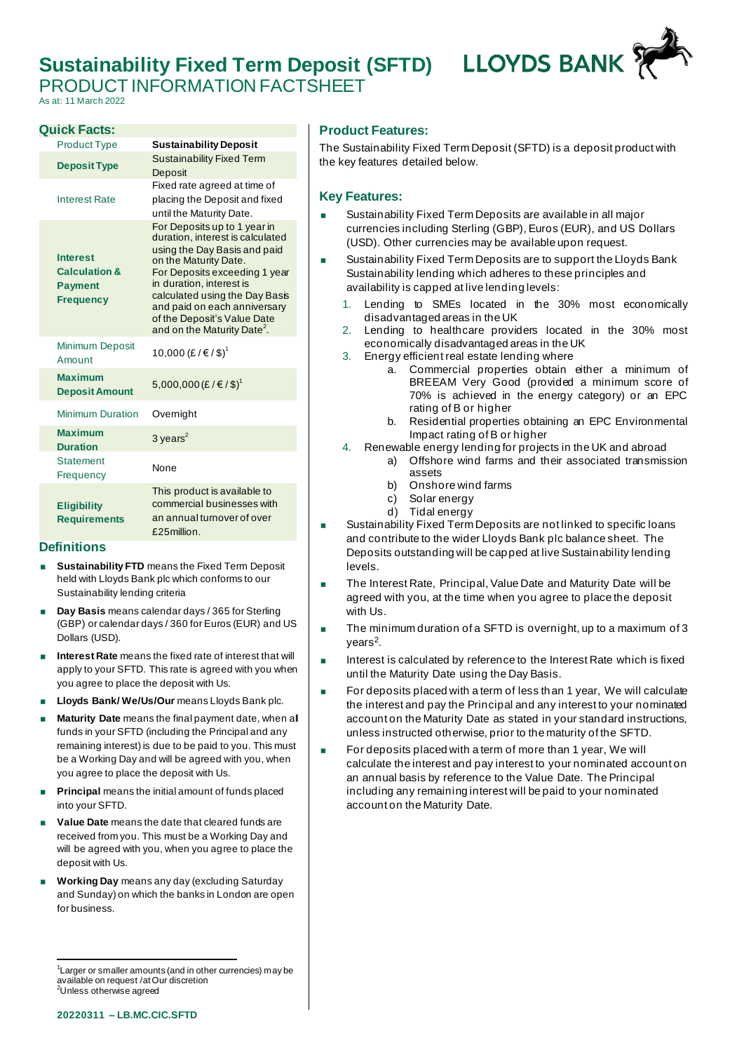# **Sustainability Fixed Term Deposit (SFTD)**



PRODUCT INFORMATION FACTSHEET

### As at: 11 March 2022

| <b>Quick Facts:</b>                                                               |                                                                                                                                                                                                                                                                                                                                    |
|-----------------------------------------------------------------------------------|------------------------------------------------------------------------------------------------------------------------------------------------------------------------------------------------------------------------------------------------------------------------------------------------------------------------------------|
| <b>Product Type</b>                                                               | <b>Sustainability Deposit</b>                                                                                                                                                                                                                                                                                                      |
| <b>Deposit Type</b>                                                               | <b>Sustainability Fixed Term</b><br>Deposit                                                                                                                                                                                                                                                                                        |
| <b>Interest Rate</b>                                                              | Fixed rate agreed at time of<br>placing the Deposit and fixed<br>until the Maturity Date.                                                                                                                                                                                                                                          |
| <b>Interest</b><br><b>Calculation &amp;</b><br><b>Payment</b><br><b>Frequency</b> | For Deposits up to 1 year in<br>duration, interest is calculated<br>using the Day Basis and paid<br>on the Maturity Date.<br>For Deposits exceeding 1 year<br>in duration, interest is<br>calculated using the Day Basis<br>and paid on each anniversary<br>of the Deposit's Value Date<br>and on the Maturity Date <sup>2</sup> . |
| <b>Minimum Deposit</b><br>Amount                                                  | 10,000 (£/€/\$) <sup>1</sup>                                                                                                                                                                                                                                                                                                       |
| <b>Maximum</b><br><b>Deposit Amount</b>                                           | 5,000,000 (£/€/\$) <sup>1</sup>                                                                                                                                                                                                                                                                                                    |
| <b>Minimum Duration</b>                                                           | Overnight                                                                                                                                                                                                                                                                                                                          |
| <b>Maximum</b><br><b>Duration</b>                                                 | 3 years $^2$                                                                                                                                                                                                                                                                                                                       |
| <b>Statement</b><br>Frequency                                                     | None                                                                                                                                                                                                                                                                                                                               |
| <b>Eligibility</b><br><b>Requirements</b>                                         | This product is available to<br>commercial businesses with<br>an annual turnover of over<br>£25million.                                                                                                                                                                                                                            |

#### **Definitions**

- **Sustainability FTD** means the Fixed Term Deposit held with Lloyds Bank plc which conforms to our Sustainability lending criteria
- **Day Basis** means calendar days / 365 for Sterling (GBP) or calendar days / 360 for Euros (EUR) and US Dollars (USD).
- **Interest Rate** means the fixed rate of interest that will apply to your SFTD. This rate is agreed with you when you agree to place the deposit with Us.
- **Lloyds Bank/ We/Us/Our** means Lloyds Bank plc.
- **Maturity Date** means the final payment date, when all funds in your SFTD (including the Principal and any remaining interest) is due to be paid to you. This must be a Working Day and will be agreed with you, when you agree to place the deposit with Us.
- **Principal** means the initial amount of funds placed into your SFTD.
- **Value Date** means the date that cleared funds are received from you. This must be a Working Day and will be agreed with you, when you agree to place the deposit with Us.
- **Working Day** means any day (excluding Saturday and Sunday) on which the banks in London are open for business.

### **Product Features:**

The Sustainability Fixed Term Deposit (SFTD) is a deposit product with the key features detailed below.

#### **Key Features:**

- Sustainability Fixed Term Deposits are available in all major currencies including Sterling (GBP), Euros (EUR), and US Dollars (USD). Other currencies may be available upon request.
- Sustainability Fixed Term Deposits are to support the Lloyds Bank Sustainability lending which adheres to these principles and availability is capped at live lending levels:
	- 1. Lending to SMEs located in the 30% most economically disadvantaged areas in the UK
	- 2. Lending to healthcare providers located in the 30% most economically disadvantaged areas in the UK
	- 3. Energy efficient real estate lending where
		- a. Commercial properties obtain either a minimum of BREEAM Very Good (provided a minimum score of 70% is achieved in the energy category) or an EPC rating of B or higher
		- b. Residential properties obtaining an EPC Environmental Impact rating of B or higher
	- 4. Renewable energy lending for projects in the UK and abroad
		- a) Offshore wind farms and their associated transmission assets
			- b) Onshore wind farms
			- c) Solar energy
			- d) Tidal energy
- Sustainability Fixed Term Deposits are not linked to specific loans and contribute to the wider Lloyds Bank plc balance sheet. The Deposits outstanding will be capped at live Sustainability lending levels.
- The Interest Rate, Principal, Value Date and Maturity Date will be agreed with you, at the time when you agree to place the deposit with Us.
- The minimum duration of a SFTD is overnight, up to a maximum of 3 years<sup>2</sup>.
- Interest is calculated by reference to the Interest Rate which is fixed until the Maturity Date using the Day Basis.
- For deposits placed with a term of less than 1 year, We will calculate the interest and pay the Principal and any interest to your nominated account on the Maturity Date as stated in your standard instructions, unless instructed otherwise, prior to the maturity of the SFTD.
- $\blacksquare$  For deposits placed with a term of more than 1 year, We will calculate the interest and pay interest to your nominated account on an annual basis by reference to the Value Date. The Principal including any remaining interest will be paid to your nominated account on the Maturity Date.

<sup>&</sup>lt;sup>1</sup> Larger or smaller amounts (and in other currencies) may be available on request /at Our discretion <sup>2</sup>Unless otherwise agreed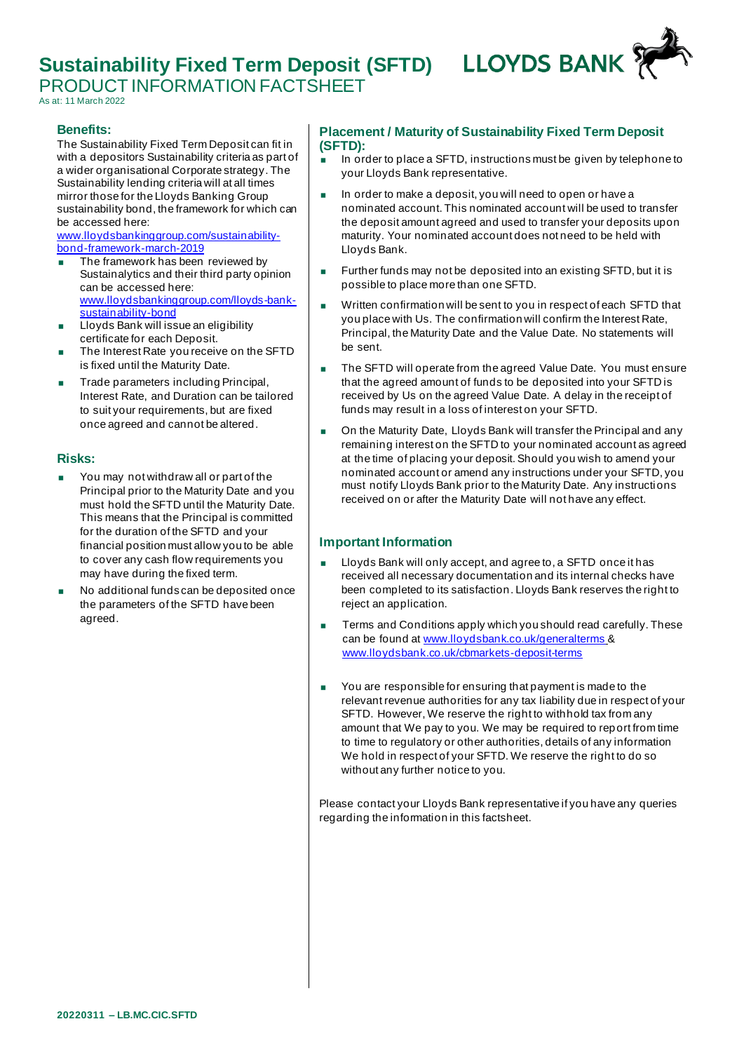## **Sustainability Fixed Term Deposit (SFTD)**

PRODUCT INFORMATION FACTSHEET



As at: 11 March 2022

#### **Benefits:**

The Sustainability Fixed Term Deposit can fit in with a depositors Sustainability criteria as part of a wider organisational Corporate strategy. The Sustainability lending criteria will at all times mirror those for the Lloyds Banking Group sustainability bond, the framework for which can be accessed here:

[www.lloydsbankinggroup.com/sustainability](https://eur02.safelinks.protection.outlook.com/?url=http%3A%2F%2Fwww.lloydsbankinggroup.com%2Fsustainability-bond-framework-march-2019&data=04%7C01%7CCharlotte.Hill1%40LloydsBanking.com%7C89636610930840c4d5a808da034b3247%7C3ded2960214a46ff8cf4611f125e2398%7C0%7C0%7C637825918733316055%7CUnknown%7CTWFpbGZsb3d8eyJWIjoiMC4wLjAwMDAiLCJQIjoiV2luMzIiLCJBTiI6Ik1haWwiLCJXVCI6Mn0%3D%7C3000&sdata=Xz06Fsa%2BBvWhzJmhPUbIxD75fXJqx%2BTUW40cwdK6FeE%3D&reserved=0)[bond-framework-march-2019](https://eur02.safelinks.protection.outlook.com/?url=http%3A%2F%2Fwww.lloydsbankinggroup.com%2Fsustainability-bond-framework-march-2019&data=04%7C01%7CCharlotte.Hill1%40LloydsBanking.com%7C89636610930840c4d5a808da034b3247%7C3ded2960214a46ff8cf4611f125e2398%7C0%7C0%7C637825918733316055%7CUnknown%7CTWFpbGZsb3d8eyJWIjoiMC4wLjAwMDAiLCJQIjoiV2luMzIiLCJBTiI6Ik1haWwiLCJXVCI6Mn0%3D%7C3000&sdata=Xz06Fsa%2BBvWhzJmhPUbIxD75fXJqx%2BTUW40cwdK6FeE%3D&reserved=0)

- The framework has been reviewed by Sustainalytics and their third party opinion can be accessed here: [www.lloydsbankinggroup.com/lloyds-bank](https://eur02.safelinks.protection.outlook.com/?url=http%3A%2F%2Fwww.lloydsbankinggroup.com%2Flloyds-bank-sustainability-bond&data=04%7C01%7CCharlotte.Hill1%40LloydsBanking.com%7C89636610930840c4d5a808da034b3247%7C3ded2960214a46ff8cf4611f125e2398%7C0%7C0%7C637825918733316055%7CUnknown%7CTWFpbGZsb3d8eyJWIjoiMC4wLjAwMDAiLCJQIjoiV2luMzIiLCJBTiI6Ik1haWwiLCJXVCI6Mn0%3D%7C3000&sdata=zLhbPVNa3wELvERhBXzHSfWxATyxmdKRRnZ7zPXK8fA%3D&reserved=0)[sustainability-bond](https://eur02.safelinks.protection.outlook.com/?url=http%3A%2F%2Fwww.lloydsbankinggroup.com%2Flloyds-bank-sustainability-bond&data=04%7C01%7CCharlotte.Hill1%40LloydsBanking.com%7C89636610930840c4d5a808da034b3247%7C3ded2960214a46ff8cf4611f125e2398%7C0%7C0%7C637825918733316055%7CUnknown%7CTWFpbGZsb3d8eyJWIjoiMC4wLjAwMDAiLCJQIjoiV2luMzIiLCJBTiI6Ik1haWwiLCJXVCI6Mn0%3D%7C3000&sdata=zLhbPVNa3wELvERhBXzHSfWxATyxmdKRRnZ7zPXK8fA%3D&reserved=0)
- Lloyds Bank will issue an eligibility certificate for each Deposit.
- The Interest Rate you receive on the SFTD is fixed until the Maturity Date.
- Trade parameters including Principal, Interest Rate, and Duration can be tailored to suit your requirements, but are fixed once agreed and cannot be altered.

#### **Risks:**

- You may not withdraw all or part of the Principal prior to the Maturity Date and you must hold the SFTD until the Maturity Date. This means that the Principal is committed for the duration of the SFTD and your financial position must allow you to be able to cover any cash flow requirements you may have during the fixed term.
- No additional funds can be deposited once the parameters of the SFTD have been agreed.

### **Placement / Maturity of Sustainability Fixed Term Deposit (SFTD):**

- $\blacksquare$  In order to place a SFTD, instructions must be given by telephone to your Lloyds Bank representative.
- In order to make a deposit, you will need to open or have a nominated account. This nominated account will be used to transfer the deposit amount agreed and used to transfer your deposits upon maturity. Your nominated account does not need to be held with Lloyds Bank.
- **Further funds may not be deposited into an existing SFTD, but it is** possible to place more than one SFTD.
- Written confirmation will be sent to you in respect of each SFTD that you place with Us. The confirmation will confirm the Interest Rate, Principal, the Maturity Date and the Value Date. No statements will be sent.
- The SFTD will operate from the agreed Value Date. You must ensure that the agreed amount of funds to be deposited into your SFTD is received by Us on the agreed Value Date. A delay in the receipt of funds may result in a loss of interest on your SFTD.
- On the Maturity Date, Lloyds Bank will transfer the Principal and any remaining interest on the SFTD to your nominated account as agreed at the time of placing your deposit. Should you wish to amend your nominated account or amend any instructions under your SFTD, you must notify Lloyds Bank prior to the Maturity Date. Any instructions received on or after the Maturity Date will not have any effect.

### **Important Information**

- Lloyds Bank will only accept, and agree to, a SFTD once it has received all necessary documentation and its internal checks have been completed to its satisfaction. Lloyds Bank reserves the right to reject an application.
- Terms and Conditions apply which you should read carefully. These can be found a[t www.lloydsbank.co.uk/generalterms](http://www.lloydsbank.co.uk/generalterms) & [www.lloydsbank.co.uk/cbmarkets-deposit-terms](http://www.lloydsbank.co.uk/cbmarkets-deposit-terms)
- You are responsible for ensuring that payment is made to the relevant revenue authorities for any tax liability due in respect of your SFTD. However, We reserve the right to withhold tax from any amount that We pay to you. We may be required to report from time to time to regulatory or other authorities, details of any information We hold in respect of your SFTD. We reserve the right to do so without any further notice to you.

Please contact your Lloyds Bank representative if you have any queries regarding the information in this factsheet.